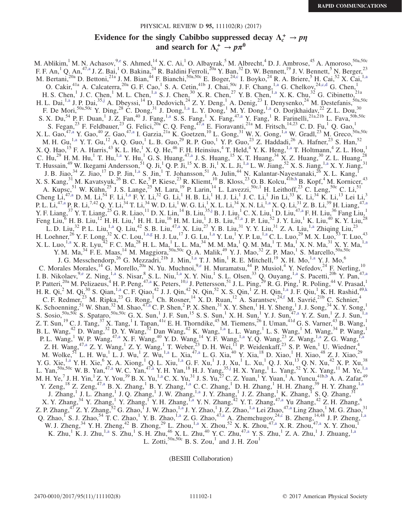### PHYSICAL REVIEW D 95, 111102(R) (2017)

# Evidence for the singly Cabibbo suppressed decay  $\Lambda_c^+ \to p\eta$ and search for  $\Lambda_c^+\to p\pi^0$

<span id="page-0-8"></span><span id="page-0-7"></span><span id="page-0-6"></span><span id="page-0-4"></span><span id="page-0-3"></span>M. Ablikim,  $^1$  M. N. Achasov,  $^{9, e}$  S. Ahmed,  $^{14}$  X. C. Ai,  $^1$  O. Albayrak,  $^5$  M. Albrecht,  $^4$  D. J. Ambrose,  $^{45}$  A. Amoroso,  $^{50a,50c}$ F. F. An,<sup>1</sup> Q. An,<sup>47[,a](#page-2-1)</sup> J. Z. Bai,<sup>1</sup> O. Bakina,<sup>24</sup> R. Baldini Ferroli,<sup>20a</sup> Y. Ban,<sup>32</sup> D. W. Bennett,<sup>19</sup> J. V. Bennett,<sup>5</sup> N. Berger,<sup>23</sup> M. Bertani,<sup>20a</sup> D. Bettoni,<sup>21a</sup> J. M. Bian,<sup>44</sup> F. Bianchi,<sup>50a,50c</sup> E. Boger,<sup>2[4,c](#page-2-2)</sup> I. Boyko,<sup>24</sup> R. A. Briere,<sup>5</sup> H. Cai,<sup>52</sup> X. Cai,<sup>1[,a](#page-2-1)</sup> O. Cakir, <sup>41a</sup> A. Calcaterra, <sup>20a</sup> G. F. Cao, <sup>1</sup> S. A. Cetin, <sup>41b</sup> J. Chai, <sup>50c</sup> J. F. Chang, <sup>1[,a](#page-2-1)</sup> G. Chelkov, <sup>2[4,c](#page-2-2)[,d](#page-2-3)</sup> G. Chen, <sup>1</sup> H. S. Chen,<sup>1</sup> J. C. Chen,<sup>1</sup> M. L. Chen,<sup>1[,a](#page-2-1)</sup> S. J. Chen,<sup>30</sup> X. R. Chen,<sup>27</sup> Y. B. Chen,<sup>1,a</sup> X. K. Chu,<sup>32</sup> G. Cibinetto,<sup>21a</sup> H. L. Dai, <sup>[1,a](#page-2-1)</sup> J. P. Dai, <sup>35[,j](#page-2-4)</sup> A. Dbeyssi, <sup>14</sup> D. Dedovich, <sup>24</sup> Z. Y. Deng, <sup>1</sup> A. Denig, <sup>23</sup> I. Denysenko, <sup>24</sup> M. Destefanis, <sup>50a, 50c</sup> F. De Mori,  $50a,50c$  Y. Ding,  $28$  C. Dong,  $31$  J. Dong,  $1, a$  L. Y. Dong,  $1$  M. Y. Dong,  $1, a$  O. Dorjkhaidav,  $22$  Z. L. Dou,  $30c$ S. X. Du,<sup>54</sup> P. F. Duan,<sup>1</sup> J. Z. Fan,<sup>40</sup> J. Fang,<sup>1[,a](#page-2-1)</sup> S. S. Fang,<sup>1</sup> X. Fang,<sup>47,a</sup> Y. Fang,<sup>1</sup> R. Farinelli,<sup>21a,21b</sup> L. Fava,<sup>50b,50c</sup> S. Fegan,  $^{23}$  F. Feldbauer,  $^{23}$  G. Felici,  $^{20a}$  C. Q. Feng,  $^{47,a}$  $^{47,a}$  $^{47,a}$  E. Fioravanti,  $^{21a}$  M. Fritsch,  $^{14,23}$  C. D. Fu,  $^{1}$  Q. Gao,  $^{1}$ X. L. Gao,  $^{47, a}$  Y. Gao,  $^{40}$  Z. Gao,  $^{47, a}$  I. Garzia,  $^{21a}$  K. Goetzen,  $^{10}$  L. Gong,  $^{31}$  W. X. Gong,  $^{1,a}$  $^{1,a}$  $^{1,a}$  W. Gradl,  $^{23}$  M. Greco,  $^{50a, 50c}$ M. H. Gu,  $^{1,2}$  Y. T. Gu,  $^{12}$  A. Q. Guo, L. B. Guo,  $^{29}$  R. P. Guo,  $^{1}$  Y. P. Guo,  $^{23}$  Z. Haddadi,  $^{26}$  A. Hafner,  $^{23}$  S. Han,  $^{52}$ X. Q. Hao,  $^{15}$  F. A. Harris,  $^{43}$  K. L. He,  $^{1}$  X. Q. He,  $^{46}$  F. H. Heinsius,  $^{4}$  T. Held,  $^{4}$  Y. K. Heng,  $^{1,a}$  $^{1,a}$  $^{1,a}$  T. Holtmann,  $^{4}$  Z. L. Hou,  $^{1}$ C. Hu,<sup>29</sup> H. M. Hu,<sup>1</sup> T. Hu,<sup>[1,a](#page-2-1)</sup> Y. Hu,<sup>1</sup> G. S. Huang,<sup>47[,a](#page-2-1)</sup> J. S. Huang,<sup>15</sup> X. T. Huang,<sup>34</sup> X. Z. Huang,<sup>30</sup> Z. L. Huang,<sup>28</sup> T. Hussain,<sup>49</sup> W. Ikegami Andersson,<sup>51</sup> Q. Ji,<sup>1</sup> Q. P. Ji,<sup>15</sup> X. B. Ji,<sup>1</sup> X. L. Ji,<sup>1[,a](#page-2-1)</sup> L. W. Jiang,<sup>52</sup> X. S. Jiang,<sup>[1,a](#page-2-1)</sup> X. Y. Jiang,<sup>31</sup> J. B. Jiao,  $^{34}$  Z. Jiao,  $^{17}$  D. P. Jin,  $^{1, a}$  S. Jin,  $^{1}$  T. Johansson,  $^{51}$  A. Julin,  $^{44}$  N. Kalantar-Nayestanaki,  $^{26}$  X. L. Kang,  $^{1}$ X. S. Kang,  $31$  M. Kavatsyuk,  $26$  B. C. Ke,  $5$  P. Kiese,  $23$  R. Kliemt,  $10$  B. Kloss,  $23$  O. B. Kolcu,  $41b,h$  $41b,h$  B. Kopf,  $4$  M. Kornicer,  $43$ A. Kupsc,<sup>51</sup> W. Kühn,<sup>25</sup> J. S. Lange,<sup>25</sup> M. Lara,<sup>19</sup> P. Larin,<sup>14</sup> L. Lavezzi,<sup>50c,1</sup> H. Leithoff,<sup>23</sup> C. Leng,<sup>50c</sup> C. Li,<sup>51</sup> Cheng Li,<sup>47[,a](#page-2-1)</sup> D. M. Li,<sup>54</sup> F. Li,<sup>[1,a](#page-2-1)</sup> F. Y. Li,<sup>32</sup> G. Li,<sup>1</sup> H. B. Li,<sup>1</sup> H. J. Li,<sup>1</sup> J. C. Li,<sup>1</sup> Jin Li,<sup>33</sup> K. Li,<sup>34</sup> K. Li,<sup>13</sup> Lei Li,<sup>3</sup> P. L. Li,<sup>4[7,a](#page-2-1)</sup> P. R. Li,<sup>7,42</sup> Q. Y. Li,<sup>34</sup> T. Li,<sup>34</sup> W. D. Li,<sup>1</sup> W. G. Li,<sup>1</sup> X. L. Li,<sup>34</sup> X. N. Li,<sup>[1,a](#page-2-1)</sup> X. Q. Li,<sup>21</sup> Z. B. Li,<sup>39</sup> H. Liang,<sup>47[,a](#page-2-1)</sup> Y. F. Liang,  $^{37}$  Y. T. Liang,  $^{25}$  G. R. Liao,  $^{11}$  D. X. Lin,  $^{14}$  B. Liu,  $^{35, j}$  B. J. Liu,  $^{1}$  C. X. Liu,  $^{1}$  D. Liu,  $^{47, a}$  F. H. Liu,  $^{36}$  Fang Liu,  $^{1}$ Feng Liu,  $6$  H. B. Liu,  $^{12}$  H. H. Liu,  $^{1}$  H. H. Liu,  $^{16}$  H. M. Liu,  $^{1}$  J. B. Liu,  $^{47, a}$  J. P. Liu,  $^{52}$  J. Y. Liu,  $^{1}$  K. Liu,  $^{40}$  K. Y. Liu,  $^{28}$ L. D. Liu,<sup>32</sup> P. L. Liu,<sup>1[,a](#page-2-1)</sup> Q. Liu,<sup>42</sup> S. B. Liu,<sup>4[7,a](#page-2-1)</sup> X. Liu,<sup>27</sup> Y. B. Liu,<sup>31</sup> Y. Y. Liu,<sup>31</sup> Z. A. Liu,<sup>1,a</sup> Zhiqing Liu,<sup>23</sup> H. Loehner,  $^{26}$  Y. F. Long,  $^{32}$  X. C. Lou,  $^{1, a,g}$  $^{1, a,g}$  $^{1, a,g}$  H. J. Lu,  $^{17}$  J. G. Lu,  $^{1, a}$  Y. Lu,  $^{1}$  Y. P. Lu,  $^{1, a}$  C. L. Luo,  $^{29}$  M. X. Luo,  $^{53}$  T. Luo,  $^{43}$  $X$ . L. Luo,<sup>1[,a](#page-2-1)</sup> X. R. Lyu,  $^{42}$  F. C. Ma,  $^{28}$  H. L. Ma,  $^{1}$  L. L. Ma,  $^{34}$  M. M. Ma,  $^{1}$  Q. M. Ma,  $^{1}$  T. Ma,  $^{1}$  X. N. Ma,  $^{31}$  X. Y. Ma,  $^{1, a}$ Y. M. Ma,<sup>34</sup> F. E. Maas,<sup>14</sup> M. Maggiora,<sup>50a,50c</sup> Q. A. Malik,<sup>49</sup> Y. J. Mao,<sup>32</sup> Z. P. Mao,<sup>1</sup> S. Marcello,<sup>50a,50c</sup> J. G. Messchendorp,<sup>26</sup> G. Mezzadri,<sup>21b</sup> J. Min,<sup>1</sup>,<sup>a</sup> T. J. Min,<sup>1</sup> R. E. Mitchell,<sup>19</sup> X. H. Mo,<sup>1[,a](#page-2-1)</sup> Y. J. Mo,<sup>6</sup> C. Morales Morales,  $^{14}$  G. Morello,  $^{20a}$  N. Yu. Muchnoi,  $^{9,e}$  $^{9,e}$  $^{9,e}$  H. Muramatsu,  $^{44}$  P. Musiol,  $^{4}$  Y. Nefedov,  $^{24}$  F. Nerling,  $^{10}$ I. B. Nikolaev,  $9,^9$ ,  $\text{e}$  Z. Ning,  $^{1, a}$  S. Nisar,  $^8$  S. L. Niu,  $^{1, a}$  X. Y. Niu,  $^1$  S. L. Olsen,  $^{33}$  Q. Ouyang,  $^{1, a}$  S. Pacetti,  $^{20b}$  Y. Pan,  $^{47, a}$ P. Patteri,<sup>20a</sup> M. Pelizaeus,<sup>4</sup> H. P. Peng,<sup>47[,a](#page-2-1)</sup> K. Peters,<sup>1[0,i](#page-2-7)</sup> J. Pettersson,<sup>51</sup> J. L. Ping,<sup>29</sup> R. G. Ping,<sup>1</sup> R. Poling,<sup>44</sup> V. Prasad,<sup>1</sup> H. R. Qi,<sup>2</sup> M. Qi,<sup>30</sup> S. Qian,<sup>1[,a](#page-2-1)</sup> C. F. Qiao,<sup>42</sup> J. J. Qin,<sup>42</sup> N. Qin,<sup>52</sup> X. S. Qin,<sup>1</sup> Z. H. Qin,<sup>[1,a](#page-2-1)</sup> J. F. Qiu,<sup>1</sup> K. H. Rashid,<sup>49[,k](#page-2-8)</sup> C. F. Redmer,<sup>23</sup> M. Ripka,<sup>23</sup> G. Rong,<sup>1</sup> Ch. Rosner,<sup>14</sup> X. D. Ruan,<sup>12</sup> A. Sarantsev,<sup>24[,f](#page-2-9)</sup> M. Savrié,<sup>21b</sup> C. Schnier,<sup>4</sup> K. Schoenning, <sup>51</sup> W. Shan, <sup>32</sup> M. Shao, <sup>47[,a](#page-2-1)</sup> C. P. Shen, <sup>2</sup> P. X. Shen, <sup>31</sup> X. Y. Shen, <sup>1</sup> H. Y. Sheng, <sup>1</sup> J. J. Song, <sup>34</sup> X. Y. Song, <sup>1</sup> S. Sosio,  $50a,50c$  S. Spataro,  $50a,50c$  G. X. Sun,<sup>1</sup> J. F. Sun,<sup>15</sup> S. S. Sun,<sup>1</sup> X. H. Sun,<sup>1</sup> Y. J. Sun,<sup>1</sup> Y. Z. Sun,<sup>1</sup> Z. J. Sun,<sup>1[,a](#page-2-1)</sup> Z. T. Sun,  $^{19}$  C. J. Tang,  $^{37}$  X. Tang,  $^{1}$  I. Tapan,  $^{41c}$  E. H. Thorndike,  $^{45}$  M. Tiemens,  $^{26}$  I. Uman,  $^{41d}$  G. S. Varner,  $^{43}$  B. Wang,  $^{1}$ B. L. Wang,<sup>42</sup> D. Wang,<sup>32</sup> D. Y. Wang,<sup>32</sup> Dan Wang,<sup>42</sup> K. Wang,<sup>1[,a](#page-2-1)</sup> L. L. Wang,<sup>1</sup> L. S. Wang,<sup>1</sup> M. Wang,<sup>34</sup> P. Wang,<sup>1</sup> P. L. Wang,<sup>1</sup> W. P. Wang,<sup>4[7,a](#page-2-1)</sup> X. F. Wang,<sup>40</sup> Y. D. Wang,<sup>14</sup> Y. F. Wang,<sup>1[,a](#page-2-1)</sup> Y. Q. Wang,<sup>23</sup> Z. Wang,<sup>[1,a](#page-2-1)</sup> Z. G. Wang,<sup>1,a</sup> Z. H. Wang,<sup>47[,a](#page-2-1)</sup> Z. Y. Wang,<sup>1</sup> Z. Y. Wang,<sup>1</sup> T. Weber, <sup>23</sup> D. H. Wei, <sup>1</sup> P. Weidenkaff, <sup>23</sup> S. P. Wen,<sup>1</sup> U. Wiedner,<sup>4</sup> M. Wolke,  $^{51}$  L. H. Wu,  $^{1}$  L. J. Wu,  $^{1}$  Z. Wu,  $^{1, a}$  L. Xia,  $^{47, a}$  L. G. Xia,  $^{40}$  Y. Xia,  $^{18}$  D. Xiao,  $^{1}$  H. Xiao,  $^{48}$  Z. J. Xiao,  $^{29}$ Y. G. Xie,  $^{1, a}_{1}$  Y. H. Xie,  $^{6}$  X. A. Xiong,  $^{1}$  Q. L. Xiu,  $^{1, a}_{1}$  G. F. Xu,  $^{1}$  J. J. Xu,  $^{1}$  L. Xu,  $^{1}$  Q. J. Xu,  $^{13}_{1}$  Q. N. Xu,  $^{42}$  X. P. Xu,  $^{38}$ L. Yan,<sup>50a,50c</sup> W. B. Yan,<sup>4[7,a](#page-2-1)</sup> W. C. Yan,<sup>47[,a](#page-2-1)</sup> Y. H. Yan,<sup>18</sup> H. J. Yang,<sup>3[5,j](#page-2-4)</sup> H. X. Yang,<sup>1</sup> L. Yang,<sup>52</sup> Y. X. Yang,<sup>11</sup> M. Ye,<sup>1,a</sup> M. H. Ye, <sup>7</sup> J. H. Yin, <sup>1</sup> Z. Y. You, <sup>39</sup> B. X. Yu, <sup>1[,a](#page-2-1)</sup> C. X. Yu, <sup>31</sup> J. S. Yu, <sup>27</sup> C. Z. Yuan, <sup>1</sup> Y. Yuan, <sup>1</sup> A. Yuncu,  $^{41b,b}$  $^{41b,b}$  $^{41b,b}$  A. A. Zafar, <sup>49</sup> Y. Zeng,<sup>18</sup> Z. Zeng,<sup>47[,a](#page-2-1)</sup> B. X. Zhang,<sup>1</sup> B. Y. Zhang,<sup>[1,a](#page-2-1)</sup> C. C. Zhang,<sup>1</sup> D. H. Zhang,<sup>1</sup> H. H. Zhang,<sup>39</sup> H. Y. Zhang,<sup>1,a</sup> J. Zhang,<sup>1</sup> J. L. Zhang,<sup>1</sup> J. Q. Zhang,<sup>1</sup> J. W. Zhang,<sup>[1,a](#page-2-1)</sup> J. Y. Zhang,<sup>1</sup> J. Z. Zhang,<sup>1</sup> K. Zhang,<sup>1</sup> S. Q. Zhang,<sup>31</sup> X. Y. Zhang,<sup>34</sup> Y. Zhang,<sup>1</sup> Y. Zhang,<sup>1</sup> Y. H. Zhang,<sup>1[,a](#page-2-1)</sup> Y. N. Zhang,<sup>42</sup> Y. T. Zhang,<sup>47,a</sup> Yu Zhang,<sup>42</sup> Z. H. Zhang,<sup>6</sup> Z. P. Zhang, <sup>47</sup> Z. Y. Zhang, <sup>52</sup> G. Zhao, <sup>I</sup> J. W. Zhao, <sup>1[,a](#page-2-1)</sup> J. Y. Zhao, <sup>1</sup> J. Z. Zhao, <sup>1,a</sup> Lei Zhao, <sup>47,a</sup> Ling Zhao, <sup>1</sup> M. G. Zhao, <sup>31</sup> Q. Zhao, S. J. Zhao,  $54$  T. C. Zhao,  $1$  Y. B. Zhao,  $1, a$  Z. G. Zhao,  $47, a$  A. Zhemchugov,  $24, c$  B. Zheng,  $1, 48$  J. P. Zheng,  $1, a$ W. J. Zheng,<sup>34</sup> Y. H. Zheng,<sup>42</sup> B. Zhong,<sup>29</sup> L. Zhou,<sup>1[,a](#page-2-1)</sup> X. Zhou,<sup>52</sup> X. K. Zhou,<sup>4[7,a](#page-2-1)</sup> X. R. Zhou,<sup>47,a</sup> X. Y. Zhou,<sup>1</sup> K. Zhu,<sup>1</sup> K. J. Zhu,<sup>1[,a](#page-2-1)</sup> S. Zhu,<sup>1</sup> S. H. Zhu,<sup>46</sup> X. L. Zhu,<sup>40</sup> Y. C. Zhu,<sup>47,a</sup> Y. S. Zhu,<sup>1</sup> Z. A. Zhu,<sup>1</sup> J. Zhuang,<sup>[1,a](#page-2-1)</sup> L. Zotti,<sup>50a,50c</sup> B. S. Zou,<sup>1</sup> and J. H. Zou<sup>1</sup>

<span id="page-0-10"></span><span id="page-0-9"></span><span id="page-0-5"></span><span id="page-0-2"></span><span id="page-0-1"></span><span id="page-0-0"></span>(BESIII Collaboration)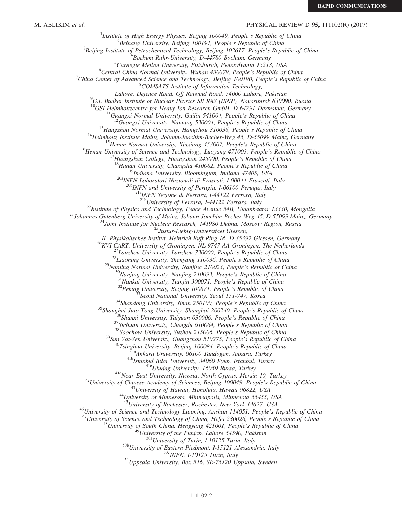# M. ABLIKIM *et al.* **PHYSICAL REVIEW D 95,** 111102(R) (2017)

<sup>1</sup>Institute of High Energy Physics, Beijing 100049, People's Republic of China  $\frac{2 \text{Poibang University}}{2}$  $B^2$ Beihang University, Beijing 100191, People's Republic of China  $3$ Beijing Institute of Petrochemical Technology, Beijing 102617, People's Republic of China  $B$ ochum Ruhr-University, D-44780 Bochum, Germany  ${}^{5}$ Carnegie Mellon University, Pittsburgh, Pennsylvania 15213, USA  ${}^6$ Central China Normal University, Wuhan 430079, People's Republic of China <sup>7</sup>China Center of Advanced Science and Technology, Beijing 100190, People's Republic of China <sup>8</sup>COMSATS Institute of Information Technology, Lahore, Defence Road, Off Raiwind Road, 54000 Lahore, Pakistan <sup>9</sup> <sup>9</sup>G.I. Budker Institute of Nuclear Physics SB RAS (BINP), Novosibirsk 630090, Russia<br><sup>10</sup>GSI Helmholtzcentre for Heavy Ion Research GmbH, D-64291 Darmstadt, Germany <sup>11</sup>Guangxi Normal University, Guilin 541004, People's Republic of China<br><sup>12</sup>Guangxi University, Nanning 530004, People's Republic of China<br><sup>13</sup>Hangzhou Normal University, Hangzhou 310036, People's Republic of China<br><sup>14</sup>H <sup>20b</sup>INFN and University of Perugia, I-06100 Perugia, Italy <sup>21a</sup>INFN Sezione di Ferrara, I-44122 Ferrara, Italy<br><sup>21b</sup>University of Ferrara, I-44122 Ferrara, Italy <sup>22</sup>Institute of Physics and Technology, Peace Avenue 54B, Ulaanbaatar 13330, Mongolia<br><sup>23</sup>Johannes Gutenberg University of Mainz, Johann-Joachim-Becher-Weg 45, D-55099 Mainz, Germany<br><sup>24</sup>Joint Institute for Nuclear Resea II. Physikalisches Institut, Heinrich-Buff-Ring 16, D-35392 Giessen, Germany<br>
<sup>26</sup>KVI-CART, University of Groningen, TM-9747 AA Groningen, The Netherlands<br>
<sup>27</sup>Lanzhou University, Lanzhou 730000, People's Republic of Chin <sup>44</sup>University of Minnesota, Minneapolis, Minnesota 55455, USA<br><sup>45</sup>University of Rochester, Rochester, New York 14627, USA<br><sup>46</sup>University of Science and Technology Liaoning, Anshan 114051, People's Republic of China<br><sup>47</sup>U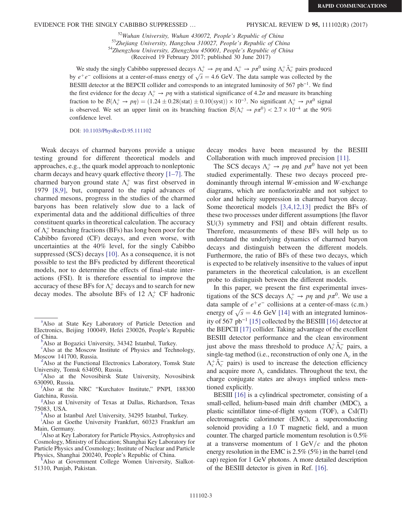EVIDENCE FOR THE SINGLY CABIBBO SUPPRESSED … PHYSICAL REVIEW D 95, 111102(R) (2017)

<sup>52</sup>Wuhan University, Wuhan 430072, People's Republic of China<br><sup>53</sup>Zhejiang University, Hangzhou 310027, People's Republic of China<br><sup>54</sup>Zhengzhou University, Zhengzhou 450001, People's Republic of China

(Received 19 February 2017; published 30 June 2017)

We study the singly Cabibbo suppressed decays  $\Lambda_c^+ \to p\eta$  and  $\Lambda_c^+ \to p\pi^0$  using  $\Lambda_c^+ \bar{\Lambda}_c^-$  pairs produced by  $e^+e^-$  collisions at a center-of-mass energy of  $\sqrt{s} = 4.6$  GeV. The data sample was collected by the BESIII detector at the BEPCII collider and corresponds to an integrated luminosity of 567 pb<sup>−</sup><sup>1</sup>. We find the first evidence for the decay  $\Lambda_c^+ \to p\eta$  with a statistical significance of 4.2 $\sigma$  and measure its branching fraction to be  $\mathcal{B}(\Lambda_c^+ \to p\eta) = (1.24 \pm 0.28 \text{(stat)} \pm 0.10 \text{(syst)}) \times 10^{-3}$ . No significant  $\Lambda_c^+ \to p\pi^0$  signal is observed. We set an upper limit on its branching fraction  $\mathcal{B}(\Lambda_c^+ \to p\pi^0) < 2.7 \times 10^{-4}$  at the 90% confidence level.

DOI: [10.1103/PhysRevD.95.111102](https://doi.org/10.1103/PhysRevD.95.111102)

Weak decays of charmed baryons provide a unique testing ground for different theoretical models and approaches, e.g., the quark model approach to nonleptonic charm decays and heavy quark effective theory [1–[7\].](#page-6-0) The charmed baryon ground state  $\Lambda_c^+$  was first observed in 1979 [\[8,9\]](#page-6-1), but, compared to the rapid advances of charmed mesons, progress in the studies of the charmed baryons has been relatively slow due to a lack of experimental data and the additional difficulties of three constituent quarks in theoretical calculation. The accuracy of  $\Lambda_c^+$  branching fractions (BFs) has long been poor for the Cabibbo favored (CF) decays, and even worse, with uncertainties at the 40% level, for the singly Cabibbo suppressed (SCS) decays [\[10\].](#page-7-0) As a consequence, it is not possible to test the BFs predicted by different theoretical models, nor to determine the effects of final-state interactions (FSI). It is therefore essential to improve the accuracy of these BFs for  $\Lambda_c^+$  decays and to search for new decay modes. The absolute BFs of 12  $\Lambda_c^+$  CF hadronic

<span id="page-2-7"></span>[i](#page-0-8) Also at Goethe University Frankfurt, 60323 Frankfurt am Main, Germany.

<span id="page-2-4"></span>Also at Key Laboratory for Particle Physics, Astrophysics and Cosmology, Ministry of Education; Shanghai Key Laboratory for Particle Physics and Cosmology; Institute of Nuclear and Particle Physics, Shanghai 200240, People's Republic of China. [k](#page-0-10)

<span id="page-2-8"></span>Also at Government College Women University, Sialkot-51310, Punjab, Pakistan.

decay modes have been measured by the BESIII Collaboration with much improved precision [\[11\]](#page-7-1).

The SCS decays  $\Lambda_c^+ \to p\eta$  and  $p\pi^0$  have not yet been studied experimentally. These two decays proceed predominantly through internal W-emission and W-exchange diagrams, which are nonfactorizable and not subject to color and helicity suppression in charmed baryon decay. Some theoretical models [\[3,4,12,13\]](#page-6-2) predict the BFs of these two processes under different assumptions [the flavor SU(3) symmetry and FSI] and obtain different results. Therefore, measurements of these BFs will help us to understand the underlying dynamics of charmed baryon decays and distinguish between the different models. Furthermore, the ratio of BFs of these two decays, which is expected to be relatively insensitive to the values of input parameters in the theoretical calculation, is an excellent probe to distinguish between the different models.

In this paper, we present the first experimental investigations of the SCS decays  $\Lambda_c^+ \to p\eta$  and  $p\pi^0$ . We use a data sample of  $e^+e^-$  collisions at a center-of-mass (c.m.) energy of  $\sqrt{s}$  = 4.6 GeV [\[14\]](#page-7-2) with an integrated luminosity of 567 pb<sup>−</sup><sup>1</sup> [\[15\]](#page-7-3) collected by the BESIII [\[16\]](#page-7-4) detector at the BEPCII [\[17\]](#page-7-5) collider. Taking advantage of the excellent BESIII detector performance and the clean environment just above the mass threshold to produce  $\Lambda_c^+ \bar{\Lambda}_c^-$  pairs, a single-tag method (i.e., reconstruction of only one  $\Lambda_c$  in the  $\Lambda_c^+ \bar{\Lambda}_c^-$  pairs) is used to increase the detection efficiency and acquire more  $\Lambda_c$  candidates. Throughout the text, the charge conjugate states are always implied unless mentioned explicitly.

BESIII [\[16\]](#page-7-4) is a cylindrical spectrometer, consisting of a small-celled, helium-based main drift chamber (MDC), a plastic scintillator time-of-flight system (TOF), a CsI(Tl) electromagnetic calorimeter (EMC), a superconducting solenoid providing a 1.0 T magnetic field, and a muon counter. The charged particle momentum resolution is 0.5% at a transverse momentum of  $1 \text{ GeV}/c$  and the photon energy resolution in the EMC is 2.5% (5%) in the barrel (end cap) region for 1 GeV photons. A more detailed description of the BESIII detector is given in Ref. [\[16\]](#page-7-4).

<span id="page-2-1"></span><sup>&</sup>lt;sup>[a](#page-0-0)</sup>Also at State Key Laboratory of Particle Detection and Electronics, Beijing 100049, Hefei 230026, People's Republic of China.

<span id="page-2-10"></span>Also at Bogazici University, 34342 Istanbul, Turkey.

<span id="page-2-2"></span><sup>&</sup>lt;sup>[c](#page-0-2)</sup>Also at the Moscow Institute of Physics and Technology, Moscow 141700, Russia.

<span id="page-2-3"></span><sup>&</sup>lt;sup>d</sup>Also at the Functional Electronics Laboratory, Tomsk State Univ[e](#page-0-4)rsity, Tomsk 634050, Russia.

<span id="page-2-0"></span>Also at the Novosibirsk State University, Novosibirsk 630090, Russia. [f](#page-0-5)

<span id="page-2-9"></span>Also at the NRC "Kurchatov Institute," PNPI, 188300 Gatchina, Russia.

<span id="page-2-6"></span>Also at University of Texas at Dallas, Richardson, Texas 75083, USA. [h](#page-0-7)

<span id="page-2-5"></span><sup>&</sup>lt;sup>h</sup>Also at Istanbul Arel University, 34295 Istanbul, Turkey.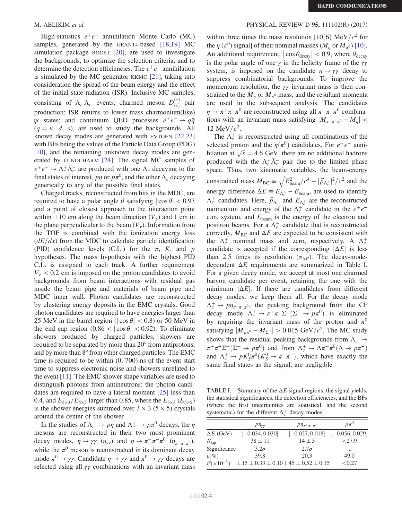High-statistics  $e^+e^-$  annihilation Monte Carlo (MC) samples, generated by the GEANT4-based [\[18,19\]](#page-7-6) MC simulation package BOOST [\[20\],](#page-7-7) are used to investigate the backgrounds, to optimize the selection criteria, and to determine the detection efficiencies. The  $e^+e^-$  annihilation is simulated by the MC generator KKMC [\[21\]](#page-7-8), taking into consideration the spread of the beam energy and the effect of the initial-state radiation (ISR). Inclusive MC samples, consisting of  $\Lambda_c^+ \bar{\Lambda}_c^-$  events; charmed meson  $D_{(s)}^{(*)}$  pair production; ISR returns to lower mass charmonium(like)  $\psi$  states; and continuum QED processes  $e^+e^- \rightarrow q\bar{q}$  $(q = u, d, s)$ , are used to study the backgrounds. All known decay modes are generated with EVTGEN [\[22,23\]](#page-7-9) with BFs being the values of the Particle Data Group (PDG) [\[10\]](#page-7-0), and the remaining unknown decay modes are generated by LUNDCHARM [\[24\]](#page-7-10). The signal MC samples of  $e^+e^- \rightarrow \Lambda_c^+ \bar{\Lambda}_c^-$  are produced with one  $\Lambda_c$  decaying to the final states of interest,  $p\eta$  or  $p\pi^0$ , and the other  $\Lambda_c$  decaying generically to any of the possible final states.

Charged tracks, reconstructed from hits in the MDC, are required to have a polar angle  $\theta$  satisfying  $|\cos \theta|$  < 0.93 and a point of closest approach to the interaction point within  $\pm 10$  cm along the beam direction ( $V_z$ ) and 1 cm in the plane perpendicular to the beam  $(V_r)$ . Information from the TOF is combined with the ionization energy loss  $(dE/dx)$  from the MDC to calculate particle identification (PID) confidence levels (C.L.) for the  $\pi$ , K, and p hypotheses. The mass hypothesis with the highest PID C.L. is assigned to each track. A further requirement  $V_r$  < 0.2 cm is imposed on the proton candidates to avoid backgrounds from beam interactions with residual gas inside the beam pipe and materials of beam pipe and MDC inner wall. Photon candidates are reconstructed by clustering energy deposits in the EMC crystals. Good photon candidates are required to have energies larger than 25 MeV in the barrel region ( $|\cos \theta|$  < 0.8) or 50 MeV in the end cap region  $(0.86 < |\cos \theta| < 0.92)$ . To eliminate showers produced by charged particles, showers are required to be separated by more than 20° from antiprotons, and by more than 8° from other charged particles. The EMC time is required to be within (0, 700) ns of the event start time to suppress electronic noise and showers unrelated to the event [\[11\]](#page-7-1). The EMC shower shape variables are used to distinguish photons from antineutrons: the photon candidates are required to have a lateral moment [\[25\]](#page-7-11) less than 0.4, and  $E_{3\times3}/E_{5\times5}$  larger than 0.85, where the  $E_{3\times3}$  ( $E_{5\times5}$ ) is the shower energies summed over  $3 \times 3$  ( $5 \times 5$ ) crystals around the center of the shower.

In the studies of  $\Lambda_c^+ \to p\eta$  and  $\Lambda_c^+ \to p\pi^0$  decays, the  $\eta$ mesons are reconstructed in their two most prominent decay modes,  $\eta \to \gamma \gamma$  ( $\eta_{\gamma\gamma}$ ) and  $\eta \to \pi^+ \pi^- \pi^0$  ( $\eta_{\pi^+ \pi^- \pi^0}$ ), while the  $\pi^0$  meson is reconstructed in its dominant decay mode  $\pi^0 \to \gamma \gamma$ . Candidate  $\eta \to \gamma \gamma$  and  $\pi^0 \to \gamma \gamma$  decays are selected using all  $\gamma\gamma$  combinations with an invariant mass

### M. ABLIKIM *et al.* **PHYSICAL REVIEW D 95, 111102(R) (2017)**

within three times the mass resolution [10(6) MeV/ $c<sup>2</sup>$  for the  $\eta$  ( $\pi^0$ ) signal] of their nominal masses ( $M_\eta$  or  $M_{\pi^0}$ ) [\[10\]](#page-7-0). An additional requirement,  $|\cos \theta_{\text{decay}}| < 0.9$ , where  $\theta_{\text{decay}}$ is the polar angle of one  $\gamma$  in the helicity frame of the  $\gamma\gamma$ system, is imposed on the candidate  $\eta \rightarrow \gamma \gamma$  decay to suppress combinatorial backgrounds. To improve the momentum resolution, the  $\gamma\gamma$  invariant mass is then constrained to the  $M_n$  or  $M_{\pi^0}$  mass, and the resultant momenta are used in the subsequent analysis. The candidates  $\eta \to \pi^+ \pi^- \pi^0$  are reconstructed using all  $\pi^+ \pi^- \pi^0$  combinations with an invariant mass satisfying  $|M_{\pi^+\pi^-\pi^0} - M_{\eta}|$  < 12 MeV/ $c^2$ .

The  $\Lambda_c^+$  is reconstructed using all combinations of the selected proton and the  $\eta(\pi^0)$  candidates. For  $e^+e^-$  annihilation at  $\sqrt{s} = 4.6$  GeV, there are no additional hadrons produced with the  $\Lambda_c^+ \bar{\Lambda}_c^-$  pair due to the limited phase space. Thus, two kinematic variables, the beam-energy constrained mass  $M_{\text{BC}} \equiv \sqrt{E_{\text{beam}}^2/c^4 - |\vec{p}_{\Lambda_c^+}|^2/c^2}$  and the energy difference  $\Delta E \equiv E_{\Lambda_c^+} - E_{\text{beam}}$ , are used to identify  $\Lambda_c^+$  candidates. Here,  $\vec{p}_{\Lambda_c^+}$  and  $E_{\Lambda_c^+}$  are the reconstructed momentum and energy of the  $\Lambda_c^+$  candidate in the  $e^+e^$ c.m. system, and  $E_{\text{beam}}$  is the energy of the electron and positron beams. For a  $\Lambda_c^+$  candidate that is reconstructed correctly,  $M_{BC}$  and  $\Delta E$  are expected to be consistent with the  $\Lambda_c^+$  nominal mass and zero, respectively. A  $\Lambda_c^+$ candidate is accepted if the corresponding  $|\Delta E|$  is less than 2.5 times its resolution ( $\sigma_{\Lambda}$ ). The decay-modedependent  $\Delta E$  requirements are summarized in Table [I](#page-3-0). For a given decay mode, we accept at most one charmed baryon candidate per event, retaining the one with the minimum  $|\Delta E|$ . If there are candidates from different decay modes, we keep them all. For the decay mode  $\Lambda_c^+ \to p \eta_{\pi^+ \pi^- \pi^0}$ , the peaking background from the CF decay mode  $\Lambda_c^+ \to \pi^+ \pi^- \Sigma^+ (\Sigma^+ \to p \pi^0)$  is eliminated by requiring the invariant mass of the proton and  $\pi^0$ satisfying  $|M_{px^0} - M_{\Sigma^+}| > 0.015 \text{ GeV}/c^2$ . The MC study shows that the residual peaking backgrounds from  $\Lambda_c^+ \rightarrow$  $\pi^+\pi^-\Sigma^+(\Sigma^+\to p\pi^0)$  and from  $\Lambda_c^+\to \Lambda\pi^+\pi^0(\Lambda\to p\pi^-)$ and  $\Lambda_c^+ \to pK_S^0 \pi^0 (K_S^0 \to \pi^+ \pi^-)$ , which have exactly the same final states as the signal, are negligible.

<span id="page-3-0"></span>TABLE I. Summary of the  $\Delta E$  signal regions, the signal yields, the statistical significances, the detection efficiencies, and the BFs (where the first uncertainties are statistical, and the second systematic) for the different  $\Lambda_c^+$  decay modes.

|                               | $p\eta_{\gamma\gamma}$                            | $p\eta_{\pi^+\pi^-\pi^0}$ | $p\pi^0$          |
|-------------------------------|---------------------------------------------------|---------------------------|-------------------|
| $\Delta E$ (GeV)              | $[-0.034, 0.030]$                                 | $[-0.027, 0.018]$         | $[-0.056, 0.029]$ |
| $N_{\rm sig}$                 | $38 \pm 11$                                       | $14 \pm 5$                | < 27.9            |
| Significance                  | $3.2\sigma$                                       | $2.7\sigma$               | $\cdots$          |
| $\varepsilon(\%)$             | 39.8                                              | 20.3                      | 49.0              |
| $\mathcal{B}(\times 10^{-3})$ | $1.15 \pm 0.33 \pm 0.10$ $1.45 \pm 0.52 \pm 0.15$ |                           | < 0.27            |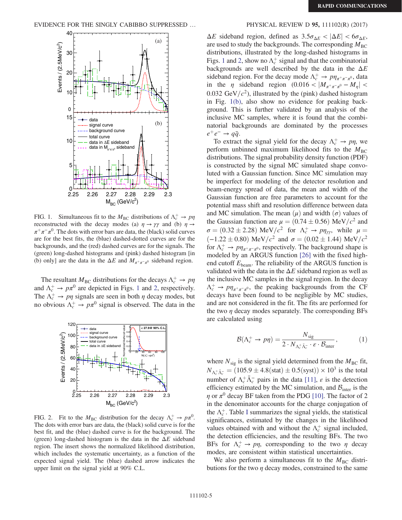<span id="page-4-0"></span>

FIG. 1. Simultaneous fit to the  $M_{BC}$  distributions of  $\Lambda_c^+ \to p\eta$ reconstructed with the decay modes (a)  $\eta \rightarrow \gamma \gamma$  and (b)  $\eta \rightarrow$  $\pi^+\pi^-\pi^0$ . The dots with error bars are data, the (black) solid curves are for the best fits, the (blue) dashed-dotted curves are for the backgrounds, and the (red) dashed curves are for the signals. The (green) long-dashed histograms and (pink) dashed histogram [in (b) only] are the data in the  $\Delta E$  and  $M_{\pi^+\pi^-\pi^0}$  sideband region.

The resultant  $M_{BC}$  distributions for the decays  $\Lambda_c^+ \to p\eta$ and  $\Lambda_c^+ \to p\pi^0$  are depicted in Figs. [1](#page-4-0) and [2,](#page-4-1) respectively. The  $\Lambda_c^+ \rightarrow p\eta$  signals are seen in both  $\eta$  decay modes, but no obvious  $\Lambda_c^+ \to p\pi^0$  signal is observed. The data in the

<span id="page-4-1"></span>

FIG. 2. Fit to the  $M_{BC}$  distribution for the decay  $\Lambda_c^+ \to p\pi^0$ . The dots with error bars are data, the (black) solid curve is for the best fit, and the (blue) dashed curve is for the background. The (green) long-dashed histogram is the data in the  $\Delta E$  sideband region. The insert shows the normalized likelihood distribution, which includes the systematic uncertainty, as a function of the expected signal yield. The (blue) dashed arrow indicates the upper limit on the signal yield at 90% C.L.

 $\Delta E$  sideband region, defined as  $3.5\sigma_{\Delta E} < |\Delta E| < 6\sigma_{\Delta E}$ , are used to study the backgrounds. The corresponding  $M_{BC}$ distributions, illustrated by the long-dashed histograms in Figs. [1](#page-4-0) and [2,](#page-4-1) show no  $\Lambda_c^+$  signal and that the combinatorial backgrounds are well described by the data in the  $\Delta E$ sideband region. For the decay mode  $\Lambda_c^+ \to p \eta_{\pi^+ \pi^- \pi^0}$ , data in the  $\eta$  sideband region (0.016 <  $|M_{\pi^+\pi^-\pi^0} - M_{\eta}|$  < 0.032 GeV/ $c^2$ ), illustrated by the (pink) dashed histogram in Fig. [1\(b\)](#page-4-0), also show no evidence for peaking background. This is further validated by an analysis of the inclusive MC samples, where it is found that the combinatorial backgrounds are dominated by the processes  $e^+e^- \rightarrow q\bar{q}$ .

To extract the signal yield for the decay  $\Lambda_c^+ \to p\eta$ , we perform unbinned maximum likelihood fits to the  $M_{BC}$ distributions. The signal probability density function (PDF) is constructed by the signal MC simulated shape convoluted with a Gaussian function. Since MC simulation may be imperfect for modeling of the detector resolution and beam-energy spread of data, the mean and width of the Gaussian function are free parameters to account for the potential mass shift and resolution difference between data and MC simulation. The mean  $(\mu)$  and width  $(\sigma)$  values of the Gaussian function are  $\mu = (0.74 \pm 0.56) \text{ MeV}/c^2$  and  $\sigma = (0.32 \pm 2.28) \text{ MeV}/c^2 \text{ for } \Lambda_c^+ \rightarrow p\eta_{\gamma\gamma}$ , while  $\mu =$  $(-1.22 \pm 0.80) \text{ MeV}/c^2 \text{ and } \sigma = (0.02 \pm 1.44) \text{ MeV}/c^2$ for  $\Lambda_c^+ \to p \eta_{\pi^+ \pi^- \pi^0}$ , respectively. The background shape is modeled by an ARGUS function [\[26\]](#page-7-12) with the fixed highend cutoff  $E_{\text{beam}}$ . The reliability of the ARGUS function is validated with the data in the  $\Delta E$  sideband region as well as the inclusive MC samples in the signal region. In the decay  $\Lambda_c^+ \to p \eta_{\pi^+ \pi^- \pi^0}$ , the peaking backgrounds from the CF decays have been found to be negligible by MC studies, and are not considered in the fit. The fits are performed for the two  $\eta$  decay modes separately. The corresponding BFs are calculated using

<span id="page-4-2"></span>
$$
\mathcal{B}(\Lambda_c^+ \to p\eta) = \frac{N_{\text{sig}}}{2 \cdot N_{\Lambda_c^+ \bar{\Lambda}_c^-} \cdot \varepsilon \cdot \mathcal{B}_{\text{inter}}},\tag{1}
$$

where  $N_{\text{sig}}$  is the signal yield determined from the  $M_{\text{BC}}$  fit,  $N_{\Delta_c^+ \bar{\Delta}_c^-} = (105.9 \pm 4.8 \text{(stat)} \pm 0.5 \text{(syst)}) \times 10^3 \text{ is the total}$ number of  $\Lambda_c^+ \bar{\Lambda}_c^-$  pairs in the data [\[11\]](#page-7-1),  $\varepsilon$  is the detection efficiency estimated by the MC simulation, and  $B<sub>inter</sub>$  is the  $\eta$  or  $\pi^0$  decay BF taken from the PDG [\[10\].](#page-7-0) The factor of 2 in the denominator accounts for the charge conjugation of the  $\Lambda_c^+$ . Table [I](#page-3-0) summarizes the signal yields, the statistical significances, estimated by the changes in the likelihood values obtained with and without the  $\Lambda_c^+$  signal included, the detection efficiencies, and the resulting BFs. The two BFs for  $\Lambda_c^+ \to p\eta$ , corresponding to the two  $\eta$  decay modes, are consistent within statistical uncertainties.

We also perform a simultaneous fit to the  $M<sub>BC</sub>$  distributions for the two  $\eta$  decay modes, constrained to the same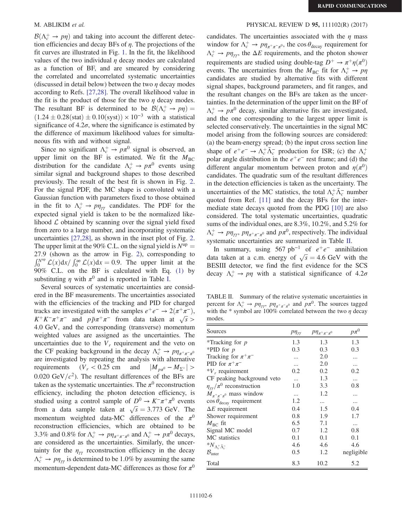$\mathcal{B}(\Lambda_c^+ \to p\eta)$  and taking into account the different detection efficiencies and decay BFs of  $\eta$ . The projections of the fit curves are illustrated in Fig. [1.](#page-4-0) In the fit, the likelihood values of the two individual  $\eta$  decay modes are calculated as a function of BF, and are smeared by considering the correlated and uncorrelated systematic uncertainties (discussed in detail below) between the two  $\eta$  decay modes according to Refs. [\[27,28\]](#page-7-13). The overall likelihood value in the fit is the product of those for the two  $\eta$  decay modes. The resultant BF is determined to be  $\mathcal{B}(\Lambda_c^+ \to p\eta) =$  $(1.24 \pm 0.28(stat) \pm 0.10(syst)) \times 10^{-3}$  with a statistical significance of  $4.2\sigma$ , where the significance is estimated by the difference of maximum likelihood values for simultaneous fits with and without signal.

Since no significant  $\Lambda_c^+ \to p\pi^0$  signal is observed, an upper limit on the BF is estimated. We fit the  $M_{BC}$ distribution for the candidate  $\Lambda_c^+ \to p\pi^0$  events using similar signal and background shapes to those described previously. The result of the best fit is shown in Fig. [2](#page-4-1). For the signal PDF, the MC shape is convoluted with a Gaussian function with parameters fixed to those obtained in the fit to  $\Lambda_c^+ \to p \eta_{\gamma\gamma}$  candidates. The PDF for the expected signal yield is taken to be the normalized likelihood  $\mathcal L$  obtained by scanning over the signal yield fixed from zero to a large number, and incorporating systematic uncertainties [\[27,28\],](#page-7-13) as shown in the inset plot of Fig. [2](#page-4-1). The upper limit at the 90% C.L. on the signal yield is  $N^{\text{up}} =$ 27.9 (shown as the arrow in Fig. [2\)](#page-4-1), corresponding to  $\int_0^{N^{\text{up}}} \mathcal{L}(x) dx / \int_0^{\infty} \mathcal{L}(x) dx = 0.9$ . The upper limit at the 90% C.L. on the BF is calculated with Eq. [\(1\)](#page-4-2) by substituting  $\eta$  with  $\pi^0$  and is reported in Table [I](#page-3-0).

Several sources of systematic uncertainties are considered in the BF measurements. The uncertainties associated with the efficiencies of the tracking and PID for charged tracks are investigated with the samples  $e^+e^- \rightarrow 2(\pi^+\pi^-)$ ,  $K^+K^-\pi^+\pi^-$  and  $p\bar{p}\pi^+\pi^-$  from data taken at  $\sqrt{s} >$ 4.0 GeV, and the corresponding (transverse) momentum weighted values are assigned as the uncertainties. The uncertainties due to the  $V_r$  requirement and the veto on the CF peaking background in the decay  $\Lambda_c^+ \to p \eta_{\pi^+ \pi^- \pi^0}$ are investigated by repeating the analysis with alternative requirements  $(V_r < 0.25$  cm and  $|M_{p\pi^0} - M_{\Sigma^+}| >$ 0.020 GeV/ $c^2$ ). The resultant differences of the BFs are taken as the systematic uncertainties. The  $\pi^0$  reconstruction efficiency, including the photon detection efficiency, is studied using a control sample of  $D^0 \to K^-\pi^+\pi^0$  events from a data sample taken at  $\sqrt{s} = 3.773$  GeV. The momentum weighted data-MC differences of the  $\pi^0$ reconstruction efficiencies, which are obtained to be 3.3% and 0.8% for  $\Lambda_c^+ \to p\eta_{\pi^+\pi^-\pi^0}$  and  $\Lambda_c^+ \to p\pi^0$  decays, are considered as the uncertainties. Similarly, the uncertainty for the  $\eta_{\gamma\gamma}$  reconstruction efficiency in the decay  $\Lambda_c^+ \rightarrow p\eta_{\gamma\gamma}$  is determined to be 1.0% by assuming the same momentum-dependent data-MC differences as those for  $\pi^0$ 

### M. ABLIKIM *et al.* **PHYSICAL REVIEW D 95, 111102(R) (2017)**

candidates. The uncertainties associated with the  $\eta$  mass window for  $\Lambda_c^+ \to p \eta_{\pi^+\pi^-\pi^0}$ , the cos  $\theta_{\text{decay}}$  requirement for  $\Lambda_c^+ \to p\eta_{\gamma\gamma}$ , the  $\Delta E$  requirements, and the photon shower requirements are studied using double-tag  $D^+ \to \pi^+ \eta(\pi^0)$ events. The uncertainties from the  $M_{BC}$  fit for  $\Lambda_c^+ \rightarrow p\eta$ candidates are studied by alternative fits with different signal shapes, background parameters, and fit ranges, and the resultant changes on the BFs are taken as the uncertainties. In the determination of the upper limit on the BF of  $\Lambda_c^+ \to p\pi^0$  decay, similar alternative fits are investigated, and the one corresponding to the largest upper limit is selected conservatively. The uncertainties in the signal MC model arising from the following sources are considered: (a) the beam-energy spread; (b) the input cross section line shape of  $e^+e^- \to \Lambda_c^+ \bar{\Lambda}_c^-$  production for ISR; (c) the  $\Lambda_c^+$ polar angle distribution in the  $e^+e^-$  rest frame; and (d) the different angular momentum between proton and  $\eta(\pi^0)$ candidates. The quadratic sum of the resultant differences in the detection efficiencies is taken as the uncertainty. The uncertainties of the MC statistics, the total  $\Lambda_c^+ \bar{\Lambda}_c^-$  number quoted from Ref. [\[11\]](#page-7-1) and the decay BFs for the intermediate state decays quoted from the PDG [\[10\]](#page-7-0) are also considered. The total systematic uncertainties, quadratic sums of the individual ones, are 8.3%, 10.2%, and 5.2% for  $\Lambda_c^+ \to p\eta_{\gamma\gamma}, p\eta_{\pi^+\pi^-\pi^0}$  and  $p\pi^0$ , respectively. The individual systematic uncertainties are summarized in Table [II](#page-5-0).

In summary, using 567 pb<sup>-1</sup> of  $e^+e^-$  annihilation data taken at a c.m. energy of  $\sqrt{s} = 4.6$  GeV with the BESIII detector, we find the first evidence for the SCS decay  $\Lambda_c^+ \to p\eta$  with a statistical significance of 4.2 $\sigma$ 

<span id="page-5-0"></span>TABLE II. Summary of the relative systematic uncertainties in percent for  $\Lambda_c^+ \to p\eta_{\gamma\gamma}$ ,  $p\eta_{\pi^+\pi^-\pi^0}$  and  $p\pi^0$ . The sources tagged with the \* symbol are 100% correlated between the two  $\eta$  decay modes.

| Sources                                 | $p\eta_{\gamma\gamma}$ | $P\eta_{\pi^+\pi^-\pi^0}$ | $p\pi^0$   |
|-----------------------------------------|------------------------|---------------------------|------------|
| *Tracking for $p$                       | 1.3                    | 1.3                       | 1.3        |
| *PID for $p$                            | 0.3                    | 0.3                       | 0.3        |
| Tracking for $\pi^+\pi^-$               | .                      | 2.0                       |            |
| PID for $\pi^+\pi^-$                    | $\cdots$               | 2.0                       | $\cdots$   |
| $*V_r$ requirement                      | 0.2                    | 0.2                       | 0.2        |
| CF peaking background veto              | $\cdots$               | 1.3                       | $\cdots$   |
| $\eta_{yy}/\pi^0$ reconstruction        | 1.0                    | 3.3                       | 0.8        |
| $M_{\pi^+\pi^-\pi^0}$ mass window       | $\cdots$               | 1.2                       | .          |
| $\cos\theta_{\text{decay}}$ requirement | 1.2                    | $\ddotsc$                 |            |
| $\Delta E$ requirement                  | 0.4                    | 1.5                       | 0.4        |
| Shower requirement                      | 0.8                    | 1.9                       | 1.7        |
| $M_{\rm BC}$ fit                        | 6.5                    | 7.1                       | $\cdots$   |
| Signal MC model                         | 0.7                    | 1.2                       | 0.8        |
| MC statistics                           | 0.1                    | 0.1                       | 0.1        |
| ${}^*N_{\Lambda_c^+\bar\Lambda_c^-}$    | 4.6                    | 4.6                       | 4.6        |
| $\mathcal{B}_{\text{inter}}$            | 0.5                    | 1.2                       | negligible |
| Total                                   | 8.3                    | 10.2                      | 5.2        |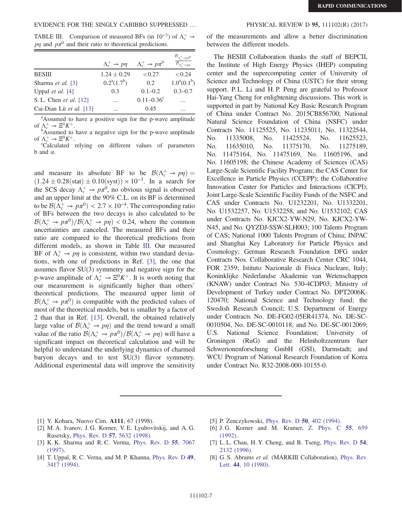<span id="page-6-3"></span>TABLE III. Comparison of measured BFs (in 10<sup>-3</sup>) of  $\Lambda_c^+ \to$ p<sub>n</sub> and  $p\pi$ <sup>0</sup> and their ratio to theoretical predictions.

|                           | $\Lambda_c^+ \rightarrow p\eta$ | $\Lambda_c^+ \to p \pi^0$ |                |
|---------------------------|---------------------------------|---------------------------|----------------|
| <b>BESIII</b>             | $1.24 \pm 0.29$                 | < 0.27                    | < 0.24         |
| Sharma et al. [3]         | $0.2^a(1.7^b)$                  | 0.2                       | $1.0^a(0.1^b)$ |
| Uppal <i>et al.</i> $[4]$ | 0.3                             | $0.1 - 0.2$               | $0.3 - 0.7$    |
| S. L. Chen et al. [12]    | $\cdots$                        | $0.11 - 0.36^{\circ}$     |                |
| Cai-Dian Lü et al. [13]   | $\cdots$                        | 0.45                      |                |

<sup>a</sup>Assumed to have a positive sign for the p-wave amplitude of  $\Lambda_c^+ \to \Xi^0 K^+$ .

Assumed to have a negative sign for the p-wave amplitude of  $\Lambda_c^+ \to \Xi^0 K^+$ .<br><sup>c</sup>Coloulated

Calculated relying on different values of parameters b and  $\alpha$ .

and measure its absolute BF to be  $\mathcal{B}(\Lambda_c^+ \to p\eta) =$  $(1.24 \pm 0.28(stat) \pm 0.10(syst)) \times 10^{-3}$ . In a search for the SCS decay  $\Lambda_c^+ \to p\pi^0$ , no obvious signal is observed and an upper limit at the 90% C.L. on its BF is determined to be  $\mathcal{B}(\Lambda_c^+ \to p\pi^0) < 2.7 \times 10^{-4}$ . The corresponding ratio of BFs between the two decays is also calculated to be  $\mathcal{B}(\Lambda_c^+ \to p\pi^0)/\mathcal{B}(\Lambda_c^+ \to p\eta) < 0.24$ , where the common uncertainties are canceled. The measured BFs and their ratio are compared to the theoretical predictions from different models, as shown in Table [III](#page-6-3). Our measured BF of  $\Lambda_c^+ \rightarrow p\eta$  is consistent, within two standard deviations, with one of predictions in Ref. [\[3\]](#page-6-2), the one that assumes flavor SU(3) symmetry and negative sign for the p-wave amplitude of  $\Lambda_c^+ \to \Xi^0 K^+$ . It is worth noting that our measurement is significantly higher than others' theoretical predictions. The measured upper limit of  $\mathcal{B}(\Lambda_c^+ \to p\pi^0)$  is compatible with the predicted values of most of the theoretical models, but is smaller by a factor of 2 than that in Ref. [\[13\].](#page-7-14) Overall, the obtained relatively large value of  $\mathcal{B}(\Lambda_c^+ \to p\eta)$  and the trend toward a small value of the ratio  $\mathcal{B}(\Lambda_c^+ \to p\pi^0)/\mathcal{B}(\Lambda_c^+ \to p\eta)$  will have a significant impact on theoretical calculation and will be helpful to understand the underlying dynamics of charmed baryon decays and to test SU(3) flavor symmetry. Additional experimental data will improve the sensitivity

of the measurements and allow a better discrimination between the different models.

The BESIII Collaboration thanks the staff of BEPCII, the Institute of High Energy Physics (IHEP) computing center and the supercomputing center of University of Science and Technology of China (USTC) for their strong support. P.L. Li and H.P. Peng are grateful to Professor Hai-Yang Cheng for enlightening discussions. This work is supported in part by National Key Basic Research Program of China under Contract No. 2015CB856700; National Natural Science Foundation of China (NSFC) under Contracts No. 11125525, No. 11235011, No. 11322544, No. 11335008, No. 11425524, No. 11625523, No. 11635010, No. 11375170, No. 11275189, No. 11475164, No. 11475169, No. 11605196, and No. 11605198; the Chinese Academy of Sciences (CAS) Large-Scale Scientific Facility Program; the CAS Center for Excellence in Particle Physics (CCEPP); the Collaborative Innovation Center for Particles and Interactions (CICPI); Joint Large-Scale Scientific Facility Funds of the NSFC and CAS under Contracts No. U1232201, No. U1332201, No. U1532257, No. U1532258, and No. U1532102; CAS under Contracts No. KJCX2-YW-N29, No. KJCX2-YW-N45, and No. QYZDJ-SSW-SLH003; 100 Talents Program of CAS; National 1000 Talents Program of China; INPAC and Shanghai Key Laboratory for Particle Physics and Cosmology; German Research Foundation DFG under Contracts Nos. Collaborative Research Center CRC 1044, FOR 2359; Istituto Nazionale di Fisica Nucleare, Italy; Koninklijke Nederlandse Akademie van Wetenschappen (KNAW) under Contract No. 530-4CDP03; Ministry of Development of Turkey under Contract No. DPT2006K-120470; National Science and Technology fund; the Swedish Research Council; U.S. Department of Energy under Contracts No. DE-FG02-05ER41374, No. DE-SC-0010504, No. DE-SC-0010118, and No. DE-SC-0012069; U.S. National Science Foundation; University of Groningen (RuG) and the Helmholtzzentrum fuer Schwerionenforschung GmbH (GSI), Darmstadt; and WCU Program of National Research Foundation of Korea under Contract No. R32-2008-000-10155-0.

- <span id="page-6-0"></span>[1] Y. Kohara, Nuovo Cim. **A111**, 67 (1998).
- [2] M. A. Ivanov, J. G. Korner, V. E. Lyubovitskij, and A. G. Rusetsky, Phys. Rev. D 57[, 5632 \(1998\).](https://doi.org/10.1103/PhysRevD.57.5632)
- <span id="page-6-2"></span>[3] K. K. Sharma and R. C. Verma, [Phys. Rev. D](https://doi.org/10.1103/PhysRevD.55.7067) 55, 7067 [\(1997\).](https://doi.org/10.1103/PhysRevD.55.7067)
- <span id="page-6-4"></span>[4] T. Uppal, R. C. Verna, and M. P. Khanna, [Phys. Rev. D](https://doi.org/10.1103/PhysRevD.49.3417) 49, [3417 \(1994\)](https://doi.org/10.1103/PhysRevD.49.3417).
- [5] P. Zenczykowski, [Phys. Rev. D](https://doi.org/10.1103/PhysRevD.50.402) **50**, 402 (1994).
- [6] J. G. Korner and M. Kramer, [Z. Phys. C](https://doi.org/10.1007/BF01561305) 55, 659 [\(1992\).](https://doi.org/10.1007/BF01561305)
- [7] L. L. Chau, H. Y. Cheng, and B. Tseng, [Phys. Rev. D](https://doi.org/10.1103/PhysRevD.54.2132) 54, [2132 \(1996\)](https://doi.org/10.1103/PhysRevD.54.2132).
- <span id="page-6-1"></span>[8] G. S. Abrams et al. (MARKIII Collaboration), [Phys. Rev.](https://doi.org/10.1103/PhysRevLett.44.10) Lett. 44[, 10 \(1980\).](https://doi.org/10.1103/PhysRevLett.44.10)